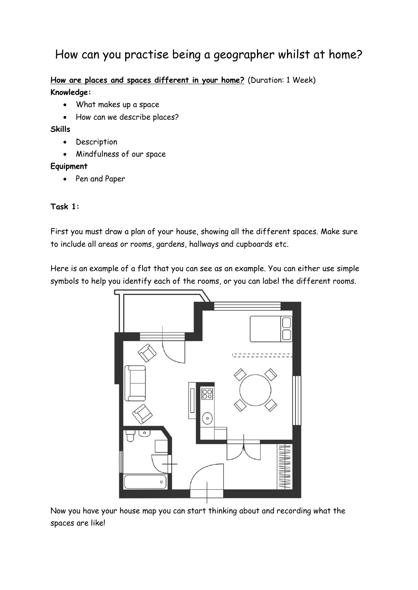# How can you practise being a geographer whilst at home?

**How are places and spaces different in your home?** (Duration: 1 Week) **Knowledge:**

- What makes up a space
- How can we describe places?

**Skills** 

- Description
- Mindfulness of our space

#### **Equipment**

• Pen and Paper

#### **Task 1:**

First you must draw a plan of your house, showing all the different spaces. Make sure to include all areas or rooms, gardens, hallways and cupboards etc.

Here is an example of a flat that you can see as an example. You can either use simple symbols to help you identify each of the rooms, or you can label the different rooms.



Now you have your house map you can start thinking about and recording what the spaces are like!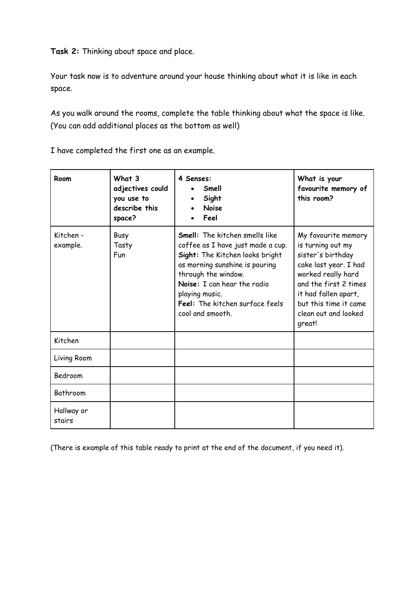**Task 2:** Thinking about space and place.

Your task now is to adventure around your house thinking about what it is like in each space.

As you walk around the rooms, complete the table thinking about what the space is like. (You can add additional places as the bottom as well)

I have completed the first one as an example.

| Room                  | What 3<br>adjectives could<br>you use to<br>describe this<br>space? | 4 Senses:<br>Smell<br>Sight<br><b>Noise</b><br>Feel                                                                                                                                                                                                                            | What is your<br>favourite memory of<br>this room?                                                                                                                                                                        |
|-----------------------|---------------------------------------------------------------------|--------------------------------------------------------------------------------------------------------------------------------------------------------------------------------------------------------------------------------------------------------------------------------|--------------------------------------------------------------------------------------------------------------------------------------------------------------------------------------------------------------------------|
| Kitchen -<br>example. | Busy<br>Tasty<br><b>Fun</b>                                         | <b>Smell:</b> The kitchen smells like<br>coffee as I have just made a cup.<br>Sight: The Kitchen looks bright<br>as morning sunshine is pouring<br>through the window.<br>Noise: I can hear the radio<br>playing music.<br>Feel: The kitchen surface feels<br>cool and smooth. | My favourite memory<br>is turning out my<br>sister's birthday<br>cake last year. I had<br>worked really hard<br>and the first 2 times<br>it had fallen apart,<br>but this time it came<br>clean out and looked<br>great! |
| Kitchen               |                                                                     |                                                                                                                                                                                                                                                                                |                                                                                                                                                                                                                          |
| Living Room           |                                                                     |                                                                                                                                                                                                                                                                                |                                                                                                                                                                                                                          |
| Bedroom               |                                                                     |                                                                                                                                                                                                                                                                                |                                                                                                                                                                                                                          |
| Bathroom              |                                                                     |                                                                                                                                                                                                                                                                                |                                                                                                                                                                                                                          |
| Hallway or<br>stairs  |                                                                     |                                                                                                                                                                                                                                                                                |                                                                                                                                                                                                                          |

(There is example of this table ready to print at the end of the document, if you need it).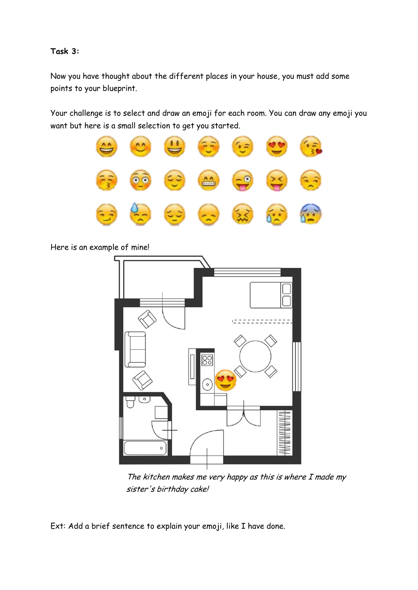### **Task 3:**

Now you have thought about the different places in your house, you must add some points to your blueprint.

Your challenge is to select and draw an emoji for each room. You can draw any emoji you want but here is a small selection to get you started.



Here is an example of mine!



The kitchen makes me very happy as this is where I made my sister's birthday cake!

Ext: Add a brief sentence to explain your emoji, like I have done.